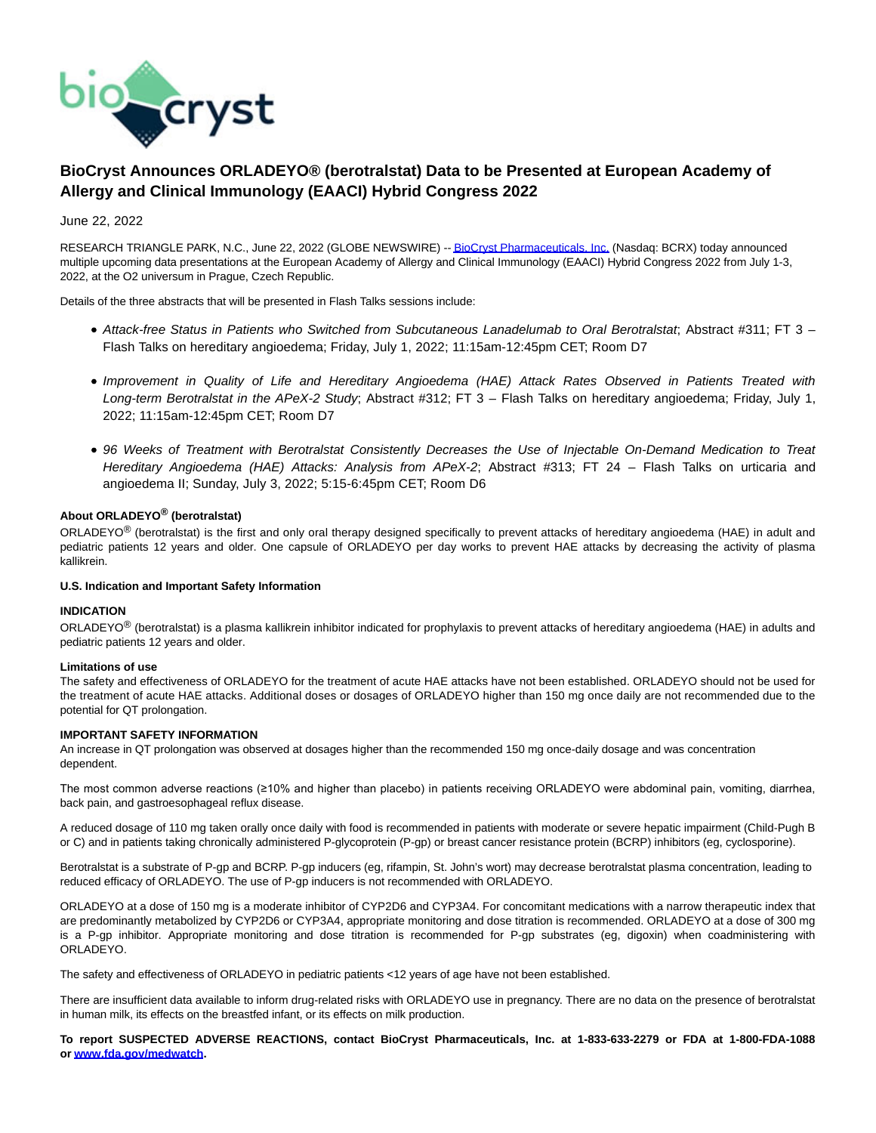

# **BioCryst Announces ORLADEYO® (berotralstat) Data to be Presented at European Academy of Allergy and Clinical Immunology (EAACI) Hybrid Congress 2022**

# June 22, 2022

RESEARCH TRIANGLE PARK, N.C., June 22, 2022 (GLOBE NEWSWIRE) -[- BioCryst Pharmaceuticals, Inc. \(](https://www.globenewswire.com/Tracker?data=2OWrZd5fYo05XxmymJuEUBTS1sW-bplDPCGyYZa9T85Jy_GaRkmlkecpdNxTcipG3Zz37_LV4MGX-h0S6h7ARibR3hMhF_McqJjsxV-pjPM=)Nasdaq: BCRX) today announced multiple upcoming data presentations at the European Academy of Allergy and Clinical Immunology (EAACI) Hybrid Congress 2022 from July 1-3, 2022, at the O2 universum in Prague, Czech Republic.

Details of the three abstracts that will be presented in Flash Talks sessions include:

- Attack-free Status in Patients who Switched from Subcutaneous Lanadelumab to Oral Berotralstat; Abstract #311; FT 3 Flash Talks on hereditary angioedema; Friday, July 1, 2022; 11:15am-12:45pm CET; Room D7
- Improvement in Quality of Life and Hereditary Angioedema (HAE) Attack Rates Observed in Patients Treated with Long-term Berotralstat in the APeX-2 Study; Abstract #312; FT 3 - Flash Talks on hereditary angioedema; Friday, July 1, 2022; 11:15am-12:45pm CET; Room D7
- 96 Weeks of Treatment with Berotralstat Consistently Decreases the Use of Injectable On-Demand Medication to Treat Hereditary Angioedema (HAE) Attacks: Analysis from APeX-2; Abstract #313; FT 24 - Flash Talks on urticaria and angioedema II; Sunday, July 3, 2022; 5:15-6:45pm CET; Room D6

# **About ORLADEYO® (berotralstat)**

ORLADEYO® (berotralstat) is the first and only oral therapy designed specifically to prevent attacks of hereditary angioedema (HAE) in adult and pediatric patients 12 years and older. One capsule of ORLADEYO per day works to prevent HAE attacks by decreasing the activity of plasma kallikrein.

#### **U.S. Indication and Important Safety Information**

#### **INDICATION**

ORLADEYO<sup>®</sup> (berotralstat) is a plasma kallikrein inhibitor indicated for prophylaxis to prevent attacks of hereditary angioedema (HAE) in adults and pediatric patients 12 years and older.

#### **Limitations of use**

The safety and effectiveness of ORLADEYO for the treatment of acute HAE attacks have not been established. ORLADEYO should not be used for the treatment of acute HAE attacks. Additional doses or dosages of ORLADEYO higher than 150 mg once daily are not recommended due to the potential for QT prolongation.

## **IMPORTANT SAFETY INFORMATION**

An increase in QT prolongation was observed at dosages higher than the recommended 150 mg once-daily dosage and was concentration dependent.

The most common adverse reactions (≥10% and higher than placebo) in patients receiving ORLADEYO were abdominal pain, vomiting, diarrhea, back pain, and gastroesophageal reflux disease.

A reduced dosage of 110 mg taken orally once daily with food is recommended in patients with moderate or severe hepatic impairment (Child-Pugh B or C) and in patients taking chronically administered P-glycoprotein (P-gp) or breast cancer resistance protein (BCRP) inhibitors (eg, cyclosporine).

Berotralstat is a substrate of P-gp and BCRP. P-gp inducers (eg, rifampin, St. John's wort) may decrease berotralstat plasma concentration, leading to reduced efficacy of ORLADEYO. The use of P-gp inducers is not recommended with ORLADEYO.

ORLADEYO at a dose of 150 mg is a moderate inhibitor of CYP2D6 and CYP3A4. For concomitant medications with a narrow therapeutic index that are predominantly metabolized by CYP2D6 or CYP3A4, appropriate monitoring and dose titration is recommended. ORLADEYO at a dose of 300 mg is a P-gp inhibitor. Appropriate monitoring and dose titration is recommended for P-gp substrates (eg, digoxin) when coadministering with ORLADEYO.

The safety and effectiveness of ORLADEYO in pediatric patients <12 years of age have not been established.

There are insufficient data available to inform drug-related risks with ORLADEYO use in pregnancy. There are no data on the presence of berotralstat in human milk, its effects on the breastfed infant, or its effects on milk production.

**To report SUSPECTED ADVERSE REACTIONS, contact BioCryst Pharmaceuticals, Inc. at 1-833-633-2279 or FDA at 1-800-FDA-1088 or [www.fda.gov/medwatch.](https://www.globenewswire.com/Tracker?data=r3_8osWjNxczL5Tvi4lWurOzjyjOxOe-nDAGXDpxRB2w-xeVi4s2QvAHGblf0Zl2a_7mr8i0Tr2Yv7eloCjvOQtr3srFCR6_Su950JnK6LjslDNQIgc1_Y2A_ttcrWCR7IoUDSQ-Ue1IgfD1zSWkukYYw_tU2Ps-DaDGE0QpWNCOyu0nC4elcvOUPJkBu1MK)**